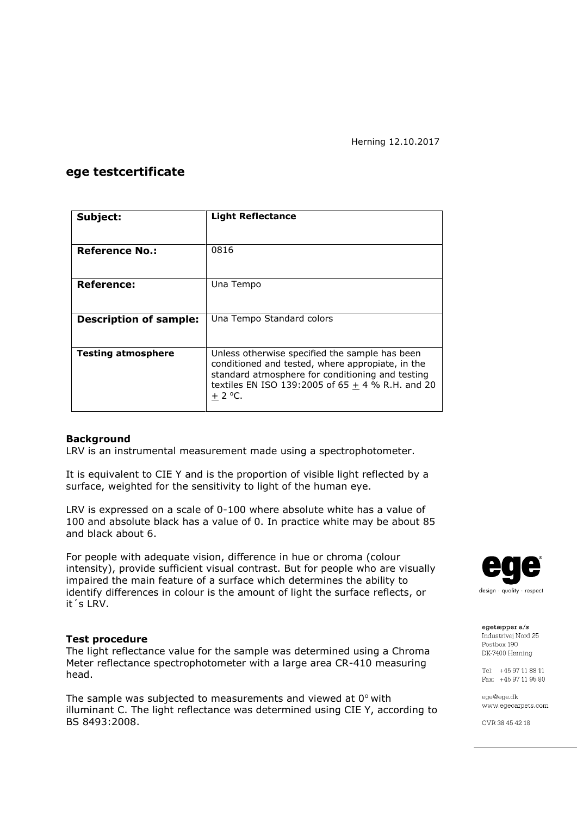## **ege testcertificate**

| Subject:                      | <b>Light Reflectance</b>                                                                                                                                                                                                   |  |  |
|-------------------------------|----------------------------------------------------------------------------------------------------------------------------------------------------------------------------------------------------------------------------|--|--|
|                               |                                                                                                                                                                                                                            |  |  |
| <b>Reference No.:</b>         | 0816                                                                                                                                                                                                                       |  |  |
|                               |                                                                                                                                                                                                                            |  |  |
| <b>Reference:</b>             | Una Tempo                                                                                                                                                                                                                  |  |  |
|                               |                                                                                                                                                                                                                            |  |  |
| <b>Description of sample:</b> | Una Tempo Standard colors                                                                                                                                                                                                  |  |  |
|                               |                                                                                                                                                                                                                            |  |  |
| <b>Testing atmosphere</b>     | Unless otherwise specified the sample has been<br>conditioned and tested, where appropiate, in the<br>standard atmosphere for conditioning and testing<br>textiles EN ISO 139:2005 of 65 $\pm$ 4 % R.H. and 20<br>$+2$ °C. |  |  |

### **Background**

LRV is an instrumental measurement made using a spectrophotometer.

It is equivalent to CIE Y and is the proportion of visible light reflected by a surface, weighted for the sensitivity to light of the human eye.

LRV is expressed on a scale of 0-100 where absolute white has a value of 100 and absolute black has a value of 0. In practice white may be about 85 and black about 6.

For people with adequate vision, difference in hue or chroma (colour intensity), provide sufficient visual contrast. But for people who are visually impaired the main feature of a surface which determines the ability to identify differences in colour is the amount of light the surface reflects, or it´s LRV.

#### **Test procedure**

The light reflectance value for the sample was determined using a Chroma Meter reflectance spectrophotometer with a large area CR-410 measuring head.

The sample was subjected to measurements and viewed at  $0^{\circ}$  with illuminant C. The light reflectance was determined using CIE Y, according to BS 8493:2008.



egetæpper a/s Industrivei Nord 25 Postbox 190 DK-7400 Herning

Tel: +45 97 11 88 11 Fax: +45 97 11 95 80

ege@ege.dk www.egecarpets.com

CVR 38 45 42 18